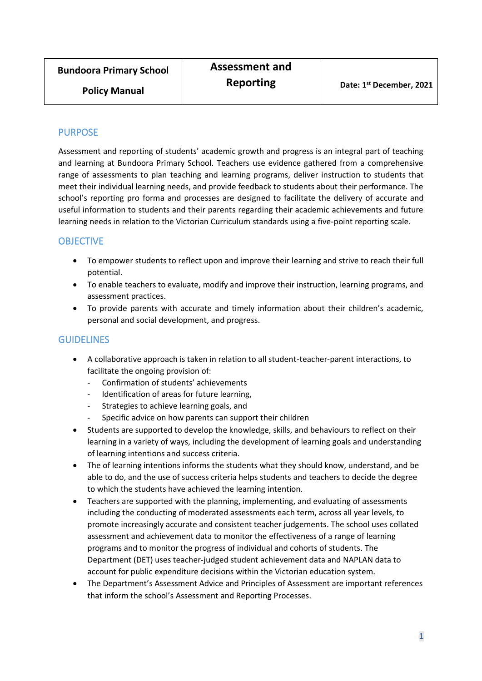**Policy Manual**

#### PURPOSE

Assessment and reporting of students' academic growth and progress is an integral part of teaching and learning at Bundoora Primary School. Teachers use evidence gathered from a comprehensive range of assessments to plan teaching and learning programs, deliver instruction to students that meet their individual learning needs, and provide feedback to students about their performance. The school's reporting pro forma and processes are designed to facilitate the delivery of accurate and useful information to students and their parents regarding their academic achievements and future learning needs in relation to the Victorian Curriculum standards using a five-point reporting scale.

## **OBJECTIVE**

- To empower students to reflect upon and improve their learning and strive to reach their full potential.
- To enable teachers to evaluate, modify and improve their instruction, learning programs, and assessment practices.
- To provide parents with accurate and timely information about their children's academic, personal and social development, and progress.

#### **GUIDELINES**

- A collaborative approach is taken in relation to all student-teacher-parent interactions, to facilitate the ongoing provision of:
	- Confirmation of students' achievements
	- Identification of areas for future learning,
	- Strategies to achieve learning goals, and
	- Specific advice on how parents can support their children
- Students are supported to develop the knowledge, skills, and behaviours to reflect on their learning in a variety of ways, including the development of learning goals and understanding of learning intentions and success criteria.
- The of learning intentions informs the students what they should know, understand, and be able to do, and the use of success criteria helps students and teachers to decide the degree to which the students have achieved the learning intention.
- Teachers are supported with the planning, implementing, and evaluating of assessments including the conducting of moderated assessments each term, across all year levels, to promote increasingly accurate and consistent teacher judgements. The school uses collated assessment and achievement data to monitor the effectiveness of a range of learning programs and to monitor the progress of individual and cohorts of students. The Department (DET) uses teacher-judged student achievement data and NAPLAN data to account for public expenditure decisions within the Victorian education system.
- The Department's Assessment Advice and Principles of Assessment are important references that inform the school's Assessment and Reporting Processes.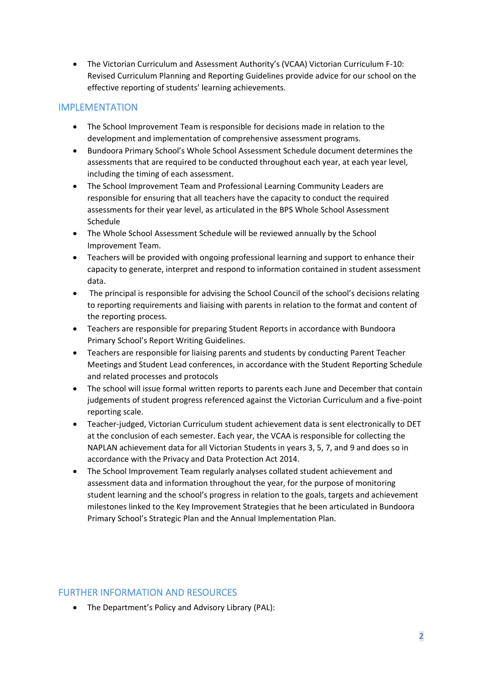• The Victorian Curriculum and Assessment Authority's (VCAA) Victorian Curriculum F-10: Revised Curriculum Planning and Reporting Guidelines provide advice for our school on the effective reporting of students' learning achievements.

### IMPLEMENTATION

- The School Improvement Team is responsible for decisions made in relation to the development and implementation of comprehensive assessment programs.
- Bundoora Primary School's Whole School Assessment Schedule document determines the assessments that are required to be conducted throughout each year, at each year level, including the timing of each assessment.
- The School Improvement Team and Professional Learning Community Leaders are responsible for ensuring that all teachers have the capacity to conduct the required assessments for their year level, as articulated in the BPS Whole School Assessment Schedule
- The Whole School Assessment Schedule will be reviewed annually by the School Improvement Team.
- Teachers will be provided with ongoing professional learning and support to enhance their capacity to generate, interpret and respond to information contained in student assessment data.
- The principal is responsible for advising the School Council of the school's decisions relating to reporting requirements and liaising with parents in relation to the format and content of the reporting process.
- Teachers are responsible for preparing Student Reports in accordance with Bundoora Primary School's Report Writing Guidelines.
- Teachers are responsible for liaising parents and students by conducting Parent Teacher Meetings and Student Lead conferences, in accordance with the Student Reporting Schedule and related processes and protocols
- The school will issue formal written reports to parents each June and December that contain judgements of student progress referenced against the Victorian Curriculum and a five-point reporting scale.
- Teacher-judged, Victorian Curriculum student achievement data is sent electronically to DET at the conclusion of each semester. Each year, the VCAA is responsible for collecting the NAPLAN achievement data for all Victorian Students in years 3, 5, 7, and 9 and does so in accordance with the Privacy and Data Protection Act 2014.
- The School Improvement Team regularly analyses collated student achievement and assessment data and information throughout the year, for the purpose of monitoring student learning and the school's progress in relation to the goals, targets and achievement milestones linked to the Key Improvement Strategies that he been articulated in Bundoora Primary School's Strategic Plan and the Annual Implementation Plan.

## FURTHER INFORMATION AND RESOURCES

• The Department's Policy and Advisory Library (PAL):